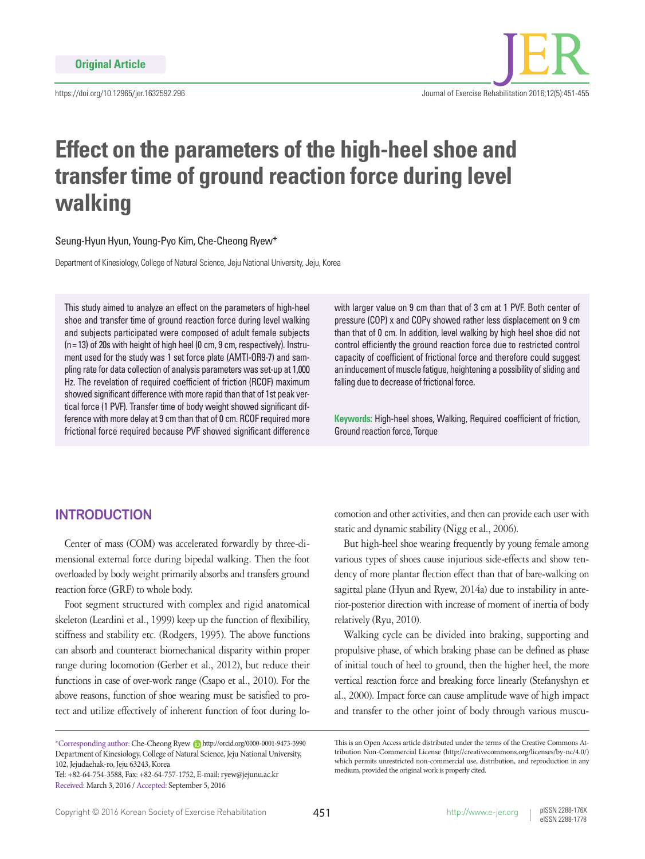

# **Effect on the parameters of the high-heel shoe and transfer time of ground reaction force during level walking**

Seung-Hyun Hyun, Young-Pyo Kim, Che-Cheong Ryew\*

Department of Kinesiology, College of Natural Science, Jeju National University, Jeju, Korea

This study aimed to analyze an effect on the parameters of high-heel shoe and transfer time of ground reaction force during level walking and subjects participated were composed of adult female subjects (n= 13) of 20s with height of high heel (0 cm, 9 cm, respectively). Instrument used for the study was 1 set force plate (AMTI-OR9-7) and sampling rate for data collection of analysis parameters was set-up at 1,000 Hz. The revelation of required coefficient of friction (RCOF) maximum showed significant difference with more rapid than that of 1st peak vertical force (1 PVF). Transfer time of body weight showed significant difference with more delay at 9 cm than that of 0 cm. RCOF required more frictional force required because PVF showed significant difference

with larger value on 9 cm than that of 3 cm at 1 PVF. Both center of pressure (COP) x and COPy showed rather less displacement on 9 cm than that of 0 cm. In addition, level walking by high heel shoe did not control efficiently the ground reaction force due to restricted control capacity of coefficient of frictional force and therefore could suggest an inducement of muscle fatigue, heightening a possibility of sliding and falling due to decrease of frictional force.

**Keywords:** High-heel shoes, Walking, Required coefficient of friction, Ground reaction force, Torque

## **INTRODUCTION**

Center of mass (COM) was accelerated forwardly by three-dimensional external force during bipedal walking. Then the foot overloaded by body weight primarily absorbs and transfers ground reaction force (GRF) to whole body.

Foot segment structured with complex and rigid anatomical skeleton (Leardini et al., 1999) keep up the function of flexibility, stiffness and stability etc. (Rodgers, 1995). The above functions can absorb and counteract biomechanical disparity within proper range during locomotion (Gerber et al., 2012), but reduce their functions in case of over-work range (Csapo et al., 2010). For the above reasons, function of shoe wearing must be satisfied to protect and utilize effectively of inherent function of foot during lo-

Tel: +82-64-754-3588, Fax: +82-64-757-1752, E-mail: ryew@jejunu.ac.kr Received: March 3, 2016 / Accepted: September 5, 2016

comotion and other activities, and then can provide each user with static and dynamic stability (Nigg et al., 2006).

But high-heel shoe wearing frequently by young female among various types of shoes cause injurious side-effects and show tendency of more plantar flection effect than that of bare-walking on sagittal plane (Hyun and Ryew, 2014a) due to instability in anterior-posterior direction with increase of moment of inertia of body relatively (Ryu, 2010).

Walking cycle can be divided into braking, supporting and propulsive phase, of which braking phase can be defined as phase of initial touch of heel to ground, then the higher heel, the more vertical reaction force and breaking force linearly (Stefanyshyn et al., 2000). Impact force can cause amplitude wave of high impact and transfer to the other joint of body through various muscu-

<sup>\*</sup>Corresponding author: Che-Cheong Ryew http://orcid.org/0000-0001-9473-3990 Department of Kinesiology, College of Natural Science, Jeju National University, 102, Jejudaehak-ro, Jeju 63243, Korea

This is an Open Access article distributed under the terms of the Creative Commons Attribution Non-Commercial License (http://creativecommons.org/licenses/by-nc/4.0/) which permits unrestricted non-commercial use, distribution, and reproduction in any medium, provided the original work is properly cited.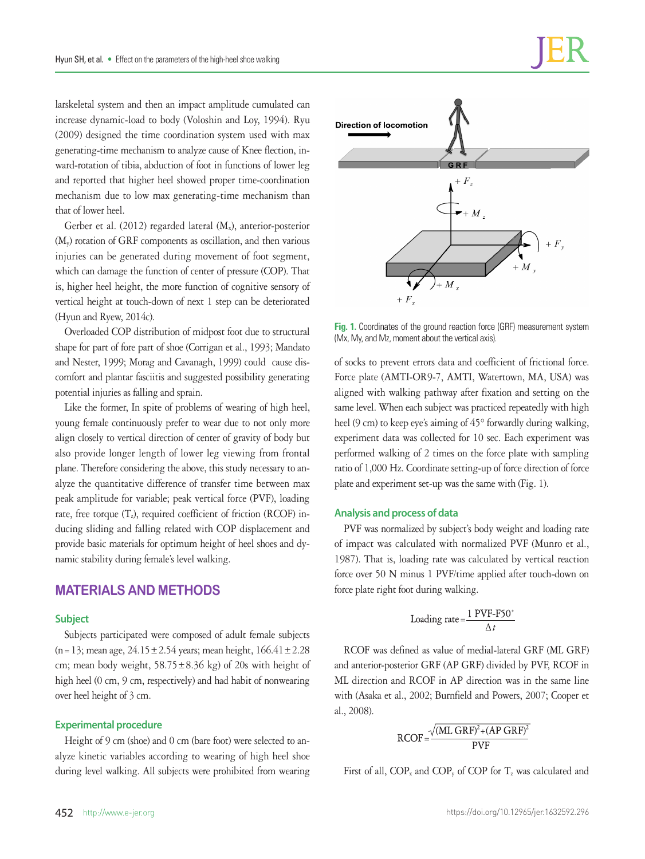larskeletal system and then an impact amplitude cumulated can increase dynamic-load to body (Voloshin and Loy, 1994). Ryu (2009) designed the time coordination system used with max generating-time mechanism to analyze cause of Knee flection, inward-rotation of tibia, abduction of foot in functions of lower leg and reported that higher heel showed proper time-coordination mechanism due to low max generating-time mechanism than that of lower heel.

Gerber et al. (2012) regarded lateral  $(M_x)$ , anterior-posterior (My) rotation of GRF components as oscillation, and then various injuries can be generated during movement of foot segment, which can damage the function of center of pressure (COP). That is, higher heel height, the more function of cognitive sensory of vertical height at touch-down of next 1 step can be deteriorated (Hyun and Ryew, 2014c).

Overloaded COP distribution of midpost foot due to structural shape for part of fore part of shoe (Corrigan et al., 1993; Mandato and Nester, 1999; Morag and Cavanagh, 1999) could cause discomfort and plantar fasciitis and suggested possibility generating potential injuries as falling and sprain.

Like the former, In spite of problems of wearing of high heel, young female continuously prefer to wear due to not only more align closely to vertical direction of center of gravity of body but also provide longer length of lower leg viewing from frontal plane. Therefore considering the above, this study necessary to analyze the quantitative difference of transfer time between max peak amplitude for variable; peak vertical force (PVF), loading rate, free torque  $(T_z)$ , required coefficient of friction (RCOF) inducing sliding and falling related with COP displacement and provide basic materials for optimum height of heel shoes and dynamic stability during female's level walking.

## **MATERIALS AND METHODS**

#### **Subject**

Subjects participated were composed of adult female subjects (n = 13; mean age,  $24.15 \pm 2.54$  years; mean height,  $166.41 \pm 2.28$ cm; mean body weight,  $58.75 \pm 8.36$  kg) of 20s with height of high heel (0 cm, 9 cm, respectively) and had habit of nonwearing over heel height of 3 cm.

### **Experimental procedure**

Height of 9 cm (shoe) and 0 cm (bare foot) were selected to analyze kinetic variables according to wearing of high heel shoe during level walking. All subjects were prohibited from wearing



**Fig. 1.** Coordinates of the ground reaction force (GRF) measurement system (Mx, My, and Mz, moment about the vertical axis).

of socks to prevent errors data and coefficient of frictional force. Force plate (AMTI-OR9-7, AMTI, Watertown, MA, USA) was aligned with walking pathway after fixation and setting on the same level. When each subject was practiced repeatedly with high heel (9 cm) to keep eye's aiming of 45° forwardly during walking, experiment data was collected for 10 sec. Each experiment was performed walking of 2 times on the force plate with sampling ratio of 1,000 Hz. Coordinate setting-up of force direction of force plate and experiment set-up was the same with (Fig. 1).

#### **Analysis and process of data**

PVF was normalized by subject's body weight and loading rate of impact was calculated with normalized PVF (Munro et al., 1987). That is, loading rate was calculated by vertical reaction force over 50 N minus 1 PVF/time applied after touch-down on force plate right foot during walking.

$$
loading rate = \frac{1 \text{ PVF-F50}^+}{\Delta t}
$$

RCOF was defined as value of medial-lateral GRF (ML GRF) and anterior-posterior GRF (AP GRF) divided by PVF, RCOF in ML direction and RCOF in AP direction was in the same line with (Asaka et al., 2002; Burnfield and Powers, 2007; Cooper et al., 2008).

$$
RCOF = \frac{\sqrt{(ML\ GRF)^2 + (AP\ GRF)^2}}{PVF}
$$

First of all,  $COP_x$  and  $COP_y$  of  $COP$  for  $T_z$  was calculated and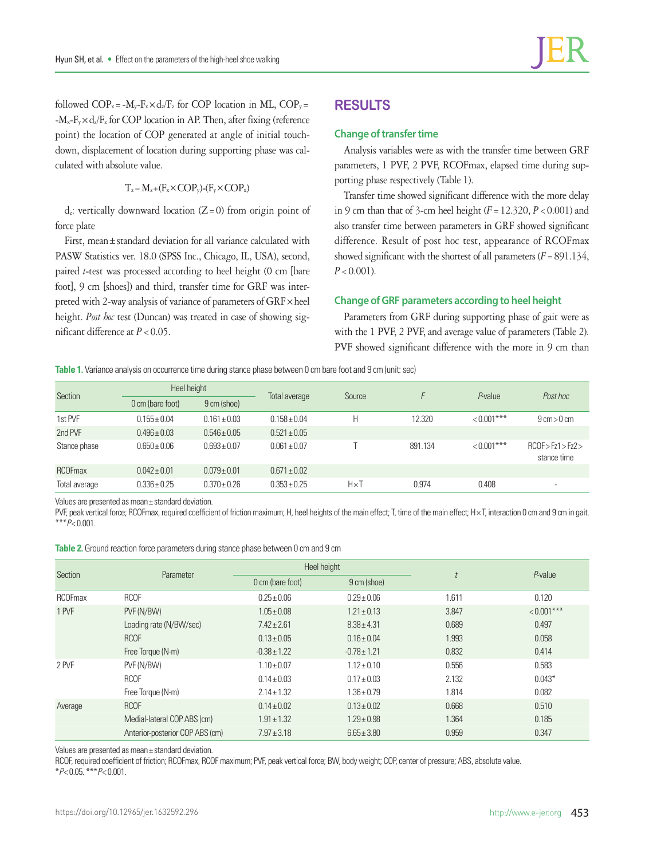followed  $COP_x = -M_y - F_x \times d_z / F_z$  for COP location in ML,  $COP_y =$  $-M_x-F_v\times d_z/F_z$  for COP location in AP. Then, after fixing (reference point) the location of COP generated at angle of initial touchdown, displacement of location during supporting phase was calculated with absolute value.

 $T_z = M_z + (F_x \times COP_y) - (F_v \times COP_x)$ 

 $d_z$ : vertically downward location (Z=0) from origin point of force plate

First, mean±standard deviation for all variance calculated with PASW Statistics ver. 18.0 (SPSS Inc., Chicago, IL, USA), second, paired *t*-test was processed according to heel height (0 cm [bare foot], 9 cm [shoes]) and third, transfer time for GRF was interpreted with 2-way analysis of variance of parameters of GRF×heel height. *Post hoc* test (Duncan) was treated in case of showing significant difference at *P*<0.05.

# **RESULTS**

### **Change of transfer time**

Analysis variables were as with the transfer time between GRF parameters, 1 PVF, 2 PVF, RCOFmax, elapsed time during supporting phase respectively (Table 1).

Transfer time showed significant difference with the more delay in 9 cm than that of 3-cm heel height  $(F = 12.320, P < 0.001)$  and also transfer time between parameters in GRF showed significant difference. Result of post hoc test, appearance of RCOFmax showed significant with the shortest of all parameters  $(F = 891.134,$  $P < 0.001$ ).

#### **Change of GRF parameters according to heel height**

Parameters from GRF during supporting phase of gait were as with the 1 PVF, 2 PVF, and average value of parameters (Table 2). PVF showed significant difference with the more in 9 cm than

**Table 1.** Variance analysis on occurrence time during stance phase between 0 cm bare foot and 9 cm (unit: sec)

| Section        | Heel height      |                  |                  | Source       |         | P-value       | Post hoc                          |
|----------------|------------------|------------------|------------------|--------------|---------|---------------|-----------------------------------|
|                | 0 cm (bare foot) | 9 cm (shoe)      | Total average    |              |         |               |                                   |
| 1st PVF        | $0.155 \pm 0.04$ | $0.161 \pm 0.03$ | $0.158 + 0.04$   | Н            | 12.320  | $< 0.001$ *** | $9 \text{ cm} > 0 \text{ cm}$     |
| 2nd PVF        | $0.496 \pm 0.03$ | $0.546 \pm 0.05$ | $0.521 \pm 0.05$ |              |         |               |                                   |
| Stance phase   | $0.650 \pm 0.06$ | $0.693 \pm 0.07$ | $0.061 \pm 0.07$ |              | 891.134 | $< 0.001$ *** | RCOF > Fz1 > Fz2 ><br>stance time |
| <b>RCOFmax</b> | $0.042 \pm 0.01$ | $0.079 \pm 0.01$ | $0.671 \pm 0.02$ |              |         |               |                                   |
| Total average  | $0.336 + 0.25$   | $0.370 + 0.26$   | $0.353 + 0.25$   | $H \times T$ | 0.974   | 0.408         | $\overline{\phantom{a}}$          |

Values are presented as mean± standard deviation.

PVF, peak vertical force; RCOFmax, required coefficient of friction maximum; H, heel heights of the main effect; T, time of the main effect; H× T, interaction 0 cm and 9 cm in gait. \*\*\**P*< 0.001.

| <b>Table 2.</b> Ground reaction force parameters during stance phase between 0 cm and 9 cm |  |  |
|--------------------------------------------------------------------------------------------|--|--|
|--------------------------------------------------------------------------------------------|--|--|

|                |                                 | Heel height      |                  |       |               |
|----------------|---------------------------------|------------------|------------------|-------|---------------|
| Section        | Parameter                       | 0 cm (bare foot) | 9 cm (shoe)      |       | $P$ -value    |
| <b>RCOFmax</b> | <b>RCOF</b>                     | $0.25 \pm 0.06$  | $0.29 \pm 0.06$  | 1.611 | 0.120         |
| 1 PVF          | PVF (N/BW)                      | $1.05 \pm 0.08$  | $1.21 \pm 0.13$  | 3.847 | $< 0.001$ *** |
|                | Loading rate (N/BW/sec)         | $7.42 \pm 2.61$  | $8.38 \pm 4.31$  | 0.689 | 0.497         |
|                | <b>RCOF</b>                     | $0.13 \pm 0.05$  | $0.16 \pm 0.04$  | 1.993 | 0.058         |
|                | Free Torque (N-m)               | $-0.38 \pm 1.22$ | $-0.78 \pm 1.21$ | 0.832 | 0.414         |
| 2 PVF          | PVF (N/BW)                      | $1.10 \pm 0.07$  | $1.12 \pm 0.10$  | 0.556 | 0.583         |
|                | <b>RCOF</b>                     | $0.14 \pm 0.03$  | $0.17 \pm 0.03$  | 2.132 | $0.043*$      |
|                | Free Torque (N-m)               | $2.14 \pm 1.32$  | $1.36 \pm 0.79$  | 1.814 | 0.082         |
| Average        | <b>RCOF</b>                     | $0.14 \pm 0.02$  | $0.13 \pm 0.02$  | 0.668 | 0.510         |
|                | Medial-lateral COP ABS (cm)     | $1.91 \pm 1.32$  | $1.29 \pm 0.98$  | 1.364 | 0.185         |
|                | Anterior-posterior COP ABS (cm) | $7.97 \pm 3.18$  | $6.65 \pm 3.80$  | 0.959 | 0.347         |

Values are presented as mean± standard deviation.

RCOF, required coefficient of friction; RCOFmax, RCOF maximum; PVF, peak vertical force; BW, body weight; COP, center of pressure; ABS, absolute value. \**P*< 0.05. \*\*\**P*< 0.001.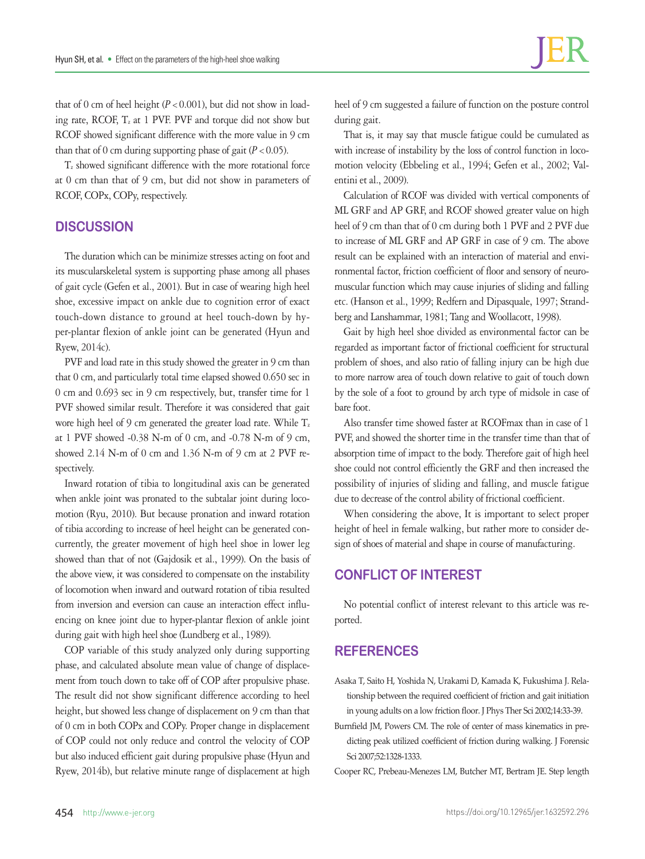that of 0 cm of heel height  $(P < 0.001)$ , but did not show in loading rate, RCOF,  $T_z$  at 1 PVF. PVF and torque did not show but RCOF showed significant difference with the more value in 9 cm than that of 0 cm during supporting phase of gait  $(P < 0.05)$ .

Tz showed significant difference with the more rotational force at 0 cm than that of 9 cm, but did not show in parameters of RCOF, COPx, COPy, respectively.

## **DISCUSSION**

The duration which can be minimize stresses acting on foot and its muscularskeletal system is supporting phase among all phases of gait cycle (Gefen et al., 2001). But in case of wearing high heel shoe, excessive impact on ankle due to cognition error of exact touch-down distance to ground at heel touch-down by hyper-plantar flexion of ankle joint can be generated (Hyun and Ryew, 2014c).

PVF and load rate in this study showed the greater in 9 cm than that 0 cm, and particularly total time elapsed showed 0.650 sec in 0 cm and 0.693 sec in 9 cm respectively, but, transfer time for 1 PVF showed similar result. Therefore it was considered that gait wore high heel of 9 cm generated the greater load rate. While  $T_z$ at 1 PVF showed -0.38 N-m of 0 cm, and -0.78 N-m of 9 cm, showed 2.14 N-m of 0 cm and 1.36 N-m of 9 cm at 2 PVF respectively.

Inward rotation of tibia to longitudinal axis can be generated when ankle joint was pronated to the subtalar joint during locomotion (Ryu, 2010). But because pronation and inward rotation of tibia according to increase of heel height can be generated concurrently, the greater movement of high heel shoe in lower leg showed than that of not (Gajdosik et al., 1999). On the basis of the above view, it was considered to compensate on the instability of locomotion when inward and outward rotation of tibia resulted from inversion and eversion can cause an interaction effect influencing on knee joint due to hyper-plantar flexion of ankle joint during gait with high heel shoe (Lundberg et al., 1989).

COP variable of this study analyzed only during supporting phase, and calculated absolute mean value of change of displacement from touch down to take off of COP after propulsive phase. The result did not show significant difference according to heel height, but showed less change of displacement on 9 cm than that of 0 cm in both COPx and COPy. Proper change in displacement of COP could not only reduce and control the velocity of COP but also induced efficient gait during propulsive phase (Hyun and Ryew, 2014b), but relative minute range of displacement at high

heel of 9 cm suggested a failure of function on the posture control during gait.

That is, it may say that muscle fatigue could be cumulated as with increase of instability by the loss of control function in locomotion velocity (Ebbeling et al., 1994; Gefen et al., 2002; Valentini et al., 2009).

Calculation of RCOF was divided with vertical components of ML GRF and AP GRF, and RCOF showed greater value on high heel of 9 cm than that of 0 cm during both 1 PVF and 2 PVF due to increase of ML GRF and AP GRF in case of 9 cm. The above result can be explained with an interaction of material and environmental factor, friction coefficient of floor and sensory of neuromuscular function which may cause injuries of sliding and falling etc. (Hanson et al., 1999; Redfern and Dipasquale, 1997; Strandberg and Lanshammar, 1981; Tang and Woollacott, 1998).

Gait by high heel shoe divided as environmental factor can be regarded as important factor of frictional coefficient for structural problem of shoes, and also ratio of falling injury can be high due to more narrow area of touch down relative to gait of touch down by the sole of a foot to ground by arch type of midsole in case of bare foot.

Also transfer time showed faster at RCOFmax than in case of 1 PVF, and showed the shorter time in the transfer time than that of absorption time of impact to the body. Therefore gait of high heel shoe could not control efficiently the GRF and then increased the possibility of injuries of sliding and falling, and muscle fatigue due to decrease of the control ability of frictional coefficient.

When considering the above, It is important to select proper height of heel in female walking, but rather more to consider design of shoes of material and shape in course of manufacturing.

# **CONFLICT OF INTEREST**

No potential conflict of interest relevant to this article was reported.

## **REFERENCES**

- Asaka T, Saito H, Yoshida N, Urakami D, Kamada K, Fukushima J. Relationship between the required coefficient of friction and gait initiation in young adults on a low friction floor. J Phys Ther Sci 2002;14:33-39.
- Burnfield JM, Powers CM. The role of center of mass kinematics in predicting peak utilized coefficient of friction during walking. J Forensic Sci 2007;52:1328-1333.

Cooper RC, Prebeau-Menezes LM, Butcher MT, Bertram JE. Step length